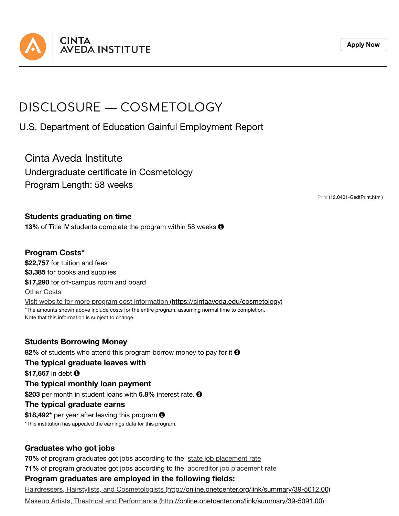

# DISCLOSURE — COSMETOLOGY

U.S. Department of Education Gainful Employment Report

Cinta Aveda Institute

Undergraduate certificate in Cosmetology Program Length: 58 weeks

Print [\(12.0401-GedtPrint.html\)](https://cintaaveda.edu/disclosures-ge/cosmetology/12.0401-GedtPrint.html)

## **Students graduating on time**

**13%** of Title IV students complete the program within 58 weeks  $\Theta$ 

# **Program Costs\***

**\$22,757** for tuition and fees **\$3,385** for books and supplies **\$17,290** for off-campus room and board Other Costs Visit website for more program cost information [\(https://cintaaveda.edu/cosmetology\)](https://cintaaveda.edu/cosmetology) \*The amounts shown above include costs for the entire program, assuming normal time to completion. Note that this information is subject to change.

**Students Borrowing Money**

**82%** of students who attend this program borrow money to pay for it **0** 

#### **The typical graduate leaves with**

\$17,667 in debt **0** 

#### **The typical monthly loan payment**

**\$203** per month in student loans with **6.8%** interest rate.

#### **The typical graduate earns**

\$18,492<sup>\*</sup> per year after leaving this program **O** \*This institution has appealed the earnings data for this program.

## **Graduates who got jobs**

**71%** of program graduates got jobs according to the accreditor job placement rate **70%** of program graduates got jobs according to the state job placement rate

## **Program graduates are employed in the following fields:**

Hairdressers, Hairstylists, and Cosmetologists [\(http://online.onetcenter.org/link/summary/39-5012.00\)](http://online.onetcenter.org/link/summary/39-5012.00)

Makeup Artists, Theatrical and Performance [\(http://online.onetcenter.org/link/summary/39-5091.00\)](http://online.onetcenter.org/link/summary/39-5091.00)